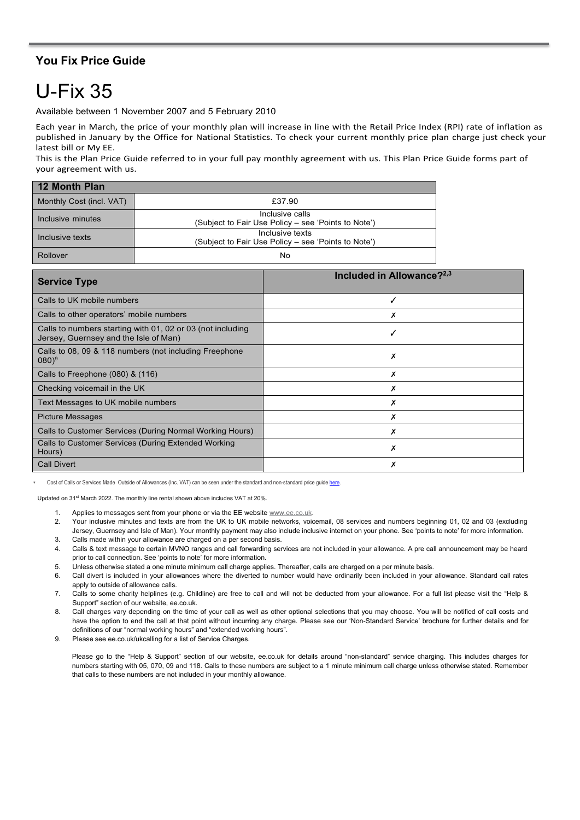## **You Fix Price Guide**

## U-Fix 35

Available between 1 November 2007 and 5 February 2010

Each year in March, the price of your monthly plan will increase in line with the Retail Price Index (RPI) rate of inflation as published in January by the Office for National Statistics. To check your current monthly price plan charge just check your latest bill or My EE.

This is the Plan Price Guide referred to in your full pay monthly agreement with us. This Plan Price Guide forms part of your agreement with us.

| 12 Month Plan            |                                                                        |  |
|--------------------------|------------------------------------------------------------------------|--|
| Monthly Cost (incl. VAT) | £37.90                                                                 |  |
| Inclusive minutes        | Inclusive calls<br>(Subject to Fair Use Policy - see 'Points to Note') |  |
| Inclusive texts          | Inclusive texts<br>(Subject to Fair Use Policy – see 'Points to Note') |  |
| Rollover                 | No                                                                     |  |

| <b>Service Type</b>                                                                                 | Included in Allowance? <sup>2,3</sup> |
|-----------------------------------------------------------------------------------------------------|---------------------------------------|
| Calls to UK mobile numbers                                                                          |                                       |
| Calls to other operators' mobile numbers                                                            |                                       |
| Calls to numbers starting with 01, 02 or 03 (not including<br>Jersey, Guernsey and the Isle of Man) |                                       |
| Calls to 08, 09 & 118 numbers (not including Freephone<br>$(080)^9$                                 | х                                     |
| Calls to Freephone (080) & (116)                                                                    |                                       |
| Checking voicemail in the UK                                                                        |                                       |
| Text Messages to UK mobile numbers                                                                  |                                       |
| <b>Picture Messages</b>                                                                             |                                       |
| Calls to Customer Services (During Normal Working Hours)                                            |                                       |
| Calls to Customer Services (During Extended Working<br>Hours)                                       | х                                     |
| <b>Call Divert</b>                                                                                  |                                       |

Cost of Calls or Services Made Outside of Allowances (Inc. VAT) can be seen under the standard and non-standard price guide here

Updated on 31st March 2022. The monthly line rental shown above includes VAT at 20%.

1. Applies to messages sent from your phone or via the EE website [www.ee.co.uk.](http://www.ee.co.uk/)

2. Your inclusive minutes and texts are from the UK to UK mobile networks, voicemail, 08 services and numbers beginning 01, 02 and 03 (excluding Jersey, Guernsey and Isle of Man). Your monthly payment may also include inclusive internet on your phone. See 'points to note' for more information.

- 3. Calls made within your allowance are charged on a per second basis.
- 4. Calls & text message to certain MVNO ranges and call forwarding services are not included in your allowance. A pre call announcement may be heard prior to call connection. See 'points to note' for more information.
- 5. Unless otherwise stated a one minute minimum call charge applies. Thereafter, calls are charged on a per minute basis.
- 6. Call divert is included in your allowances where the diverted to number would have ordinarily been included in your allowance. Standard call rates apply to outside of allowance calls.
- 7. Calls to some charity helplines (e.g. Childline) are free to call and will not be deducted from your allowance. For a full list please visit the "Help & Support" section of our website, ee.co.uk.
- 8. Call charges vary depending on the time of your call as well as other optional selections that you may choose. You will be notified of call costs and have the option to end the call at that point without incurring any charge. Please see our 'Non-Standard Service' brochure for further details and for definitions of our "normal working hours" and "extended working hours".

9. Please see ee.co.uk/ukcalling for a list of Service Charges.

Please go to the "Help & Support" section of our website, ee.co.uk for details around "non-standard" service charging. This includes charges for numbers starting with 05, 070, 09 and 118. Calls to these numbers are subject to a 1 minute minimum call charge unless otherwise stated. Remember that calls to these numbers are not included in your monthly allowance.